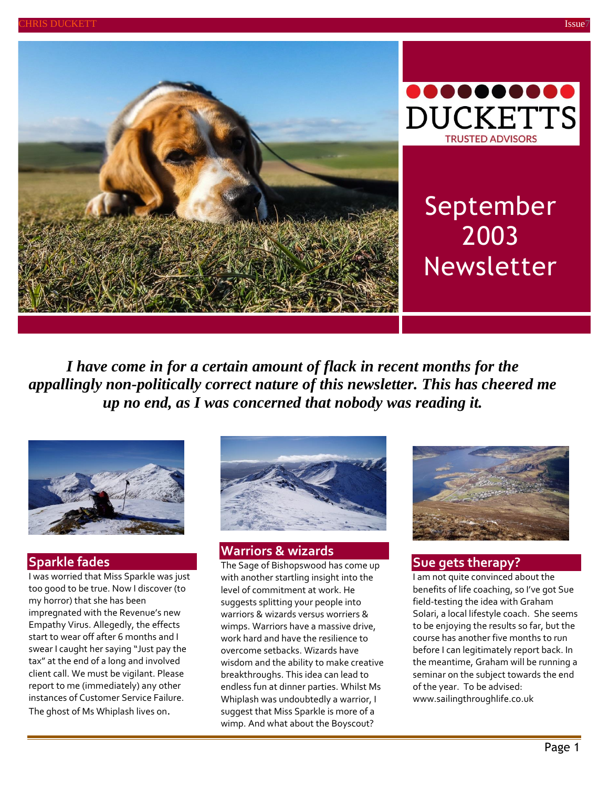



# September 2003 Newsletter

*I have come in for a certain amount of flack in recent months for the appallingly non-politically correct nature of this newsletter. This has cheered me up no end, as I was concerned that nobody was reading it.*



## **Sparkle fades**

I was worried that Miss Sparkle was just too good to be true. Now I discover (to my horror) that she has been impregnated with the Revenue's new Empathy Virus. Allegedly, the effects start to wear off after 6 months and I swear I caught her saying "Just pay the tax" at the end of a long and involved client call. We must be vigilant. Please report to me (immediately) any other instances of Customer Service Failure. The ghost of Ms Whiplash lives on.



# **Warriors & wizards**

The Sage of Bishopswood has come up with another startling insight into the level of commitment at work. He suggests splitting your people into warriors & wizards versus worriers & wimps. Warriors have a massive drive, work hard and have the resilience to overcome setbacks. Wizards have wisdom and the ability to make creative breakthroughs. This idea can lead to endless fun at dinner parties. Whilst Ms Whiplash was undoubtedly a warrior, I suggest that Miss Sparkle is more of a wimp. And what about the Boyscout?



## **Sue gets therapy?**

I am not quite convinced about the benefits of life coaching, so I've got Sue field-testing the idea with Graham Solari, a local lifestyle coach. She seems to be enjoying the results so far, but the course has another five months to run before I can legitimately report back. In the meantime, Graham will be running a seminar on the subject towards the end of the year. To be advised: [www.sailingthroughlife.co.uk](http://www.sailingthroughlife.co.uk/)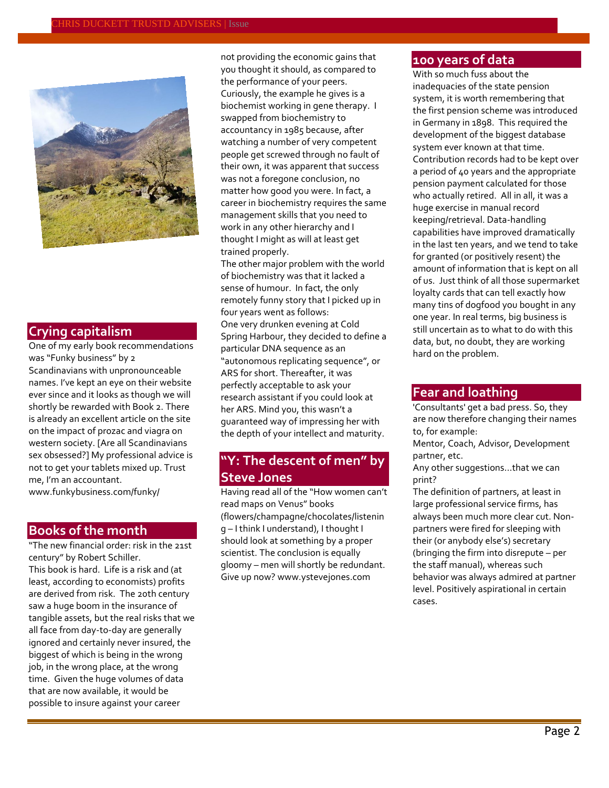

## **Crying capitalism**

One of my early book recommendations was "Funky business" by 2 Scandinavians with unpronounceable names. I've kept an eye on their website ever since and it looks as though we will shortly be rewarded with Book 2. There is already an excellent article on the site on the impact of prozac and viagra on western society. [Are all Scandinavians sex obsessed?] My professional advice is not to get your tablets mixed up. Trust me, I'm an accountant. [www.funkybusiness.com/funky/](http://www.funkybusiness.com/)

#### **Books of the month**

"The new financial order: risk in the 21st century" by Robert Schiller. This book is hard. Life is a risk and (at least, according to economists) profits are derived from risk. The 20th century saw a huge boom in the insurance of tangible assets, but the real risks that we all face from day-to-day are generally ignored and certainly never insured, the biggest of which is being in the wrong job, in the wrong place, at the wrong time. Given the huge volumes of data that are now available, it would be possible to insure against your career

not providing the economic gains that you thought it should, as compared to the performance of your peers. Curiously, the example he gives is a biochemist working in gene therapy. I swapped from biochemistry to accountancy in 1985 because, after watching a number of very competent people get screwed through no fault of their own, it was apparent that success was not a foregone conclusion, no matter how good you were. In fact, a career in biochemistry requires the same management skills that you need to work in any other hierarchy and I thought I might as will at least get trained properly.

The other major problem with the world of biochemistry was that it lacked a sense of humour. In fact, the only remotely funny story that I picked up in four years went as follows: One very drunken evening at Cold Spring Harbour, they decided to define a particular DNA sequence as an "autonomous replicating sequence", or ARS for short. Thereafter, it was perfectly acceptable to ask your research assistant if you could look at her ARS. Mind you, this wasn't a guaranteed way of impressing her with the depth of your intellect and maturity.

# **"Y: The descent of men" by Steve Jones**

Having read all of the "How women can't read maps on Venus" books (flowers/champagne/chocolates/listenin g – I think I understand), I thought I should look at something by a proper scientist. The conclusion is equally gloomy – men will shortly be redundant. Give up now[? www.ystevejones.com](http://www.ystevejones.com/)

# **100 years of data**

With so much fuss about the inadequacies of the state pension system, it is worth remembering that the first pension scheme was introduced in Germany in 1898. This required the development of the biggest database system ever known at that time. Contribution records had to be kept over a period of 40 years and the appropriate pension payment calculated for those who actually retired. All in all, it was a huge exercise in manual record keeping/retrieval. Data-handling capabilities have improved dramatically in the last ten years, and we tend to take for granted (or positively resent) the amount of information that is kept on all of us. Just think of all those supermarket loyalty cards that can tell exactly how many tins of dogfood you bought in any one year. In real terms, big business is still uncertain as to what to do with this data, but, no doubt, they are working hard on the problem.

#### **Fear and loathing**

'Consultants' get a bad press. So, they are now therefore changing their names to, for example:

Mentor, Coach, Advisor, Development partner, etc.

Any other suggestions...that we can print?

The definition of partners, at least in large professional service firms, has always been much more clear cut. Nonpartners were fired for sleeping with their (or anybody else's) secretary (bringing the firm into disrepute – per the staff manual), whereas such behavior was always admired at partner level. Positively aspirational in certain cases.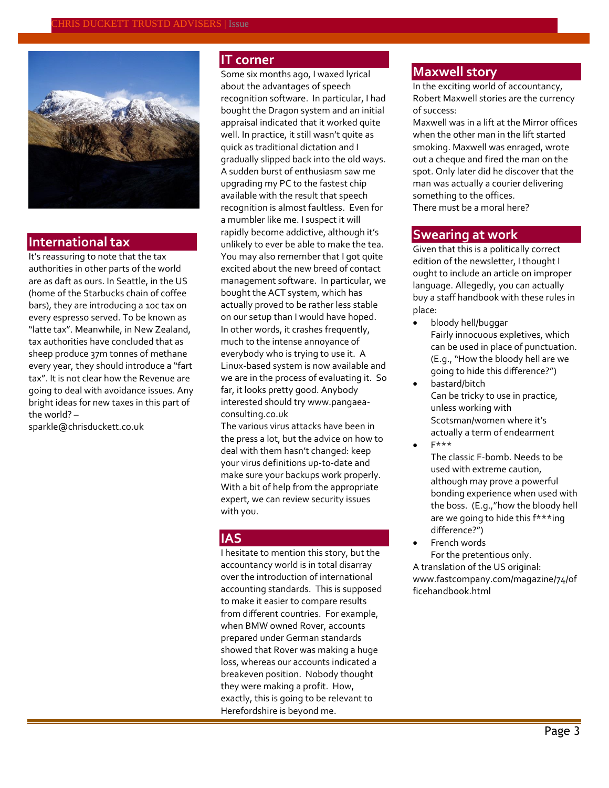

#### **International tax**

It's reassuring to note that the tax authorities in other parts of the world are as daft as ours. In Seattle, in the US (home of the Starbucks chain of coffee bars), they are introducing a 10c tax on every espresso served. To be known as "latte tax". Meanwhile, in New Zealand, tax authorities have concluded that as sheep produce 37m tonnes of methane every year, they should introduce a "fart tax". It is not clear how the Revenue are going to deal with avoidance issues. Any bright ideas for new taxes in this part of the world? –

[sparkle@chrisduckett.co.uk](mailto:sparkle@chrisduckett.co.uk)

#### **IT corner**

Some six months ago, I waxed lyrical about the advantages of speech recognition software. In particular, I had bought the Dragon system and an initial appraisal indicated that it worked quite well. In practice, it still wasn't quite as quick as traditional dictation and I gradually slipped back into the old ways. A sudden burst of enthusiasm saw me upgrading my PC to the fastest chip available with the result that speech recognition is almost faultless. Even for a mumbler like me. I suspect it will rapidly become addictive, although it's unlikely to ever be able to make the tea. You may also remember that I got quite excited about the new breed of contact management software. In particular, we bought the ACT system, which has actually proved to be rather less stable on our setup than I would have hoped. In other words, it crashes frequently, much to the intense annoyance of everybody who is trying to use it. A Linux-based system is now available and we are in the process of evaluating it. So far, it looks pretty good. Anybody interested should tr[y www.pangaea](http://www.pangaea-consulting.co.uk/)[consulting.co.uk](http://www.pangaea-consulting.co.uk/)

The various virus attacks have been in the press a lot, but the advice on how to deal with them hasn't changed: keep your virus definitions up-to-date and make sure your backups work properly. With a bit of help from the appropriate expert, we can review security issues with you.

#### **IAS**

I hesitate to mention this story, but the accountancy world is in total disarray over the introduction of international accounting standards. This is supposed to make it easier to compare results from different countries. For example, when BMW owned Rover, accounts prepared under German standards showed that Rover was making a huge loss, whereas our accounts indicated a breakeven position. Nobody thought they were making a profit. How, exactly, this is going to be relevant to Herefordshire is beyond me.

#### **Maxwell story**

In the exciting world of accountancy, Robert Maxwell stories are the currency of success:

Maxwell was in a lift at the Mirror offices when the other man in the lift started smoking. Maxwell was enraged, wrote out a cheque and fired the man on the spot. Only later did he discover that the man was actually a courier delivering something to the offices. There must be a moral here?

#### **Swearing at work**

Given that this is a politically correct edition of the newsletter, I thought I ought to include an article on improper language. Allegedly, you can actually buy a staff handbook with these rules in place:

- bloody hell/buggar Fairly innocuous expletives, which can be used in place of punctuation. (E.g., "How the bloody hell are we going to hide this difference?")
- bastard/bitch Can be tricky to use in practice, unless working with Scotsman/women where it's actually a term of endearment F\*\*\*
- The classic F-bomb. Needs to be used with extreme caution, although may prove a powerful bonding experience when used with the boss. (E.g.,"how the bloody hell are we going to hide this f\*\*\*ing difference?")
- French words For the pretentious only. A translation of the US original: [www.fastcompany.com/magazine/74/of](http://www.fastcompany.com/magazine/74/officehandbook.html) [ficehandbook.html](http://www.fastcompany.com/magazine/74/officehandbook.html)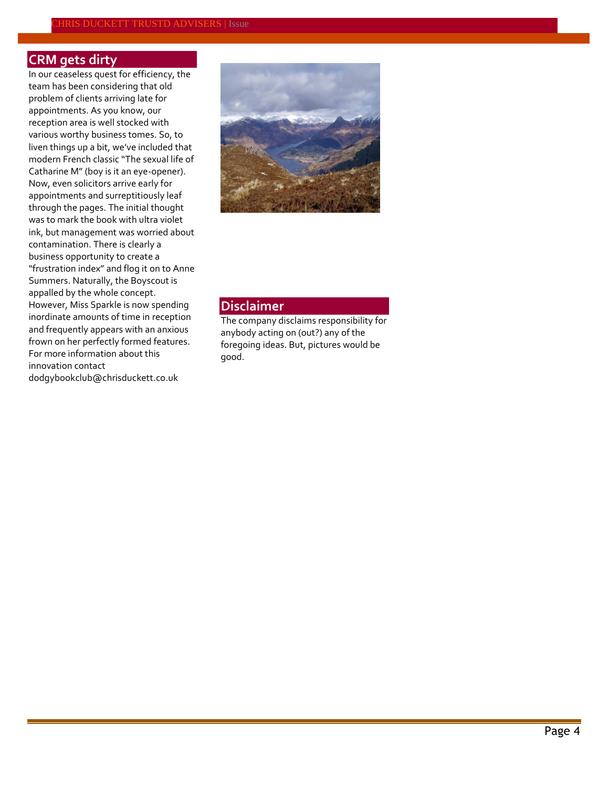# **CRM gets dirty**

In our ceaseless quest for efficiency, the team has been considering that old problem of clients arriving late for appointments. As you know, our reception area is well stocked with various worthy business tomes. So, to liven things up a bit, we've included that modern French classic "The sexual life of Catharine M" (boy is it an eye-opener). Now, even solicitors arrive early for appointments and surreptitiously leaf through the pages. The initial thought was to mark the book with ultra violet ink, but management was worried about contamination. There is clearly a business opportunity to create a "frustration index" and flog it on to Anne Summers. Naturally, the Boyscout is appalled by the whole concept. However, Miss Sparkle is now spending inordinate amounts of time in reception and frequently appears with an anxious frown on her perfectly formed features. For more information about this innovation contact [dodgybookclub@chrisduckett.co.uk](mailto:dodgybookclub@chrisduckett.co.uk)



# **Disclaimer**

The company disclaims responsibility for anybody acting on (out?) any of the foregoing ideas. But, pictures would be good.